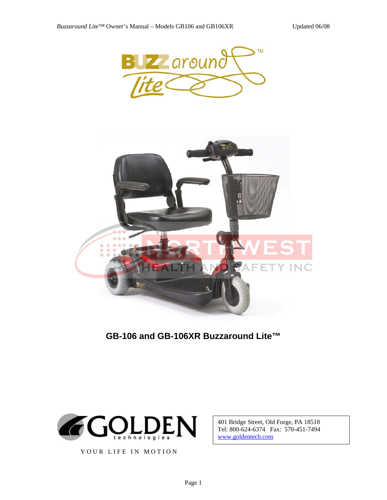



**GB-106 and GB-106XR Buzzaround Lite™** 



YOUR LIFE IN MOTION

401 Bridge Street, Old Forge, PA 18518 Tel: 800-624-6374 Fax: 570-451-7494 www.goldentech.com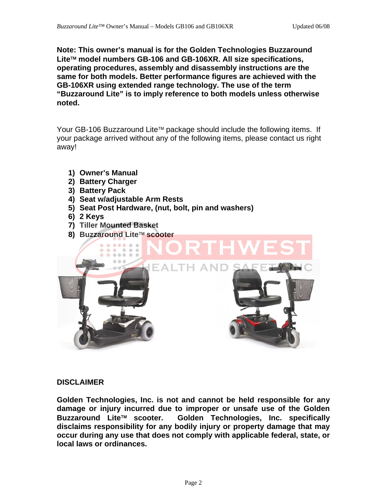**Note: This owner's manual is for the Golden Technologies Buzzaround Lite**™ **model numbers GB-106 and GB-106XR. All size specifications, operating procedures, assembly and disassembly instructions are the same for both models. Better performance figures are achieved with the GB-106XR using extended range technology. The use of the term "Buzzaround Lite" is to imply reference to both models unless otherwise noted.** 

Your GB-106 Buzzaround Lite™ package should include the following items. If your package arrived without any of the following items, please contact us right away!

- **1) Owner's Manual**
- **2) Battery Charger**
- **3) Battery Pack**
- **4) Seat w/adjustable Arm Rests**
- **5) Seat Post Hardware, (nut, bolt, pin and washers)**
- **6) 2 Keys**
- **7) Tiller Mounted Basket**
- **8) Buzzaround Lite**™ **scooter**



### **DISCLAIMER**

**Golden Technologies, Inc. is not and cannot be held responsible for any damage or injury incurred due to improper or unsafe use of the Golden Buzzaround Lite**™ **scooter. Golden Technologies, Inc. specifically disclaims responsibility for any bodily injury or property damage that may occur during any use that does not comply with applicable federal, state, or local laws or ordinances.**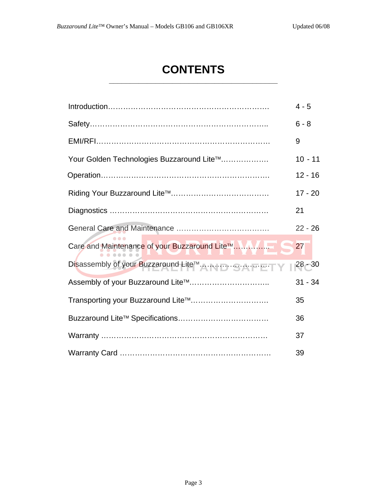# **CONTENTS \_\_\_\_\_\_\_\_\_\_\_\_\_\_\_\_\_\_\_\_\_\_\_\_\_\_\_\_\_\_\_\_\_\_\_\_\_\_\_\_**

|                                           | $4 - 5$   |
|-------------------------------------------|-----------|
|                                           | $6 - 8$   |
|                                           | 9         |
| Your Golden Technologies Buzzaround Lite™ | $10 - 11$ |
|                                           | $12 - 16$ |
|                                           | $17 - 20$ |
|                                           | 21        |
|                                           | $22 - 26$ |
|                                           | 27        |
|                                           | $28 - 30$ |
|                                           | $31 - 34$ |
| Transporting your Buzzaround Lite™        | 35        |
|                                           | 36        |
|                                           | 37        |
|                                           | 39        |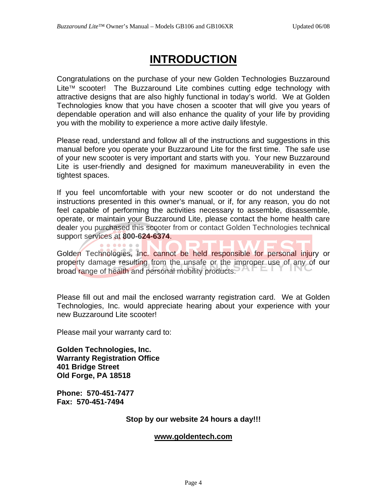# **INTRODUCTION**

Congratulations on the purchase of your new Golden Technologies Buzzaround Lite™ scooter! The Buzzaround Lite combines cutting edge technology with attractive designs that are also highly functional in today's world. We at Golden Technologies know that you have chosen a scooter that will give you years of dependable operation and will also enhance the quality of your life by providing you with the mobility to experience a more active daily lifestyle.

Please read, understand and follow all of the instructions and suggestions in this manual before you operate your Buzzaround Lite for the first time. The safe use of your new scooter is very important and starts with you. Your new Buzzaround Lite is user-friendly and designed for maximum maneuverability in even the tightest spaces.

If you feel uncomfortable with your new scooter or do not understand the instructions presented in this owner's manual, or if, for any reason, you do not feel capable of performing the activities necessary to assemble, disassemble, operate, or maintain your Buzzaround Lite, please contact the home health care dealer you purchased this scooter from or contact Golden Technologies technical support services at **800-624-6374**.

Golden Technologies, Inc. cannot be held responsible for personal injury or property damage resulting from the unsafe or the improper use of any of our broad range of health and personal mobility products.

Please fill out and mail the enclosed warranty registration card. We at Golden Technologies, Inc. would appreciate hearing about your experience with your new Buzzaround Lite scooter!

Please mail your warranty card to:

**Golden Technologies, Inc. Warranty Registration Office 401 Bridge Street Old Forge, PA 18518** 

**Phone: 570-451-7477 Fax: 570-451-7494** 

### **Stop by our website 24 hours a day!!!**

#### **www.goldentech.com**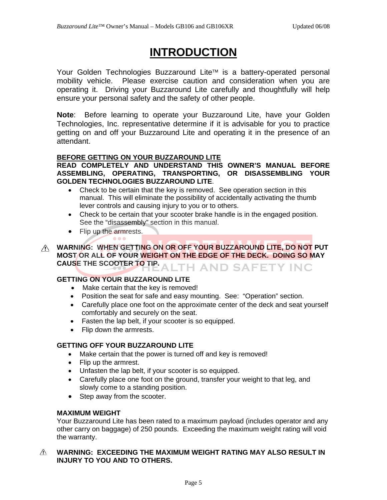## **INTRODUCTION**

Your Golden Technologies Buzzaround Lite™ is a battery-operated personal mobility vehicle. Please exercise caution and consideration when you are operating it. Driving your Buzzaround Lite carefully and thoughtfully will help ensure your personal safety and the safety of other people.

**Note**: Before learning to operate your Buzzaround Lite, have your Golden Technologies, Inc. representative determine if it is advisable for you to practice getting on and off your Buzzaround Lite and operating it in the presence of an attendant.

#### **BEFORE GETTING ON YOUR BUZZAROUND LITE**

**READ COMPLETELY AND UNDERSTAND THIS OWNER'S MANUAL BEFORE ASSEMBLING, OPERATING, TRANSPORTING, OR DISASSEMBLING YOUR GOLDEN TECHNOLOGIES BUZZAROUND LITE**.

- Check to be certain that the key is removed. See operation section in this manual. This will eliminate the possibility of accidentally activating the thumb lever controls and causing injury to you or to others.
- Check to be certain that your scooter brake handle is in the engaged position. See the "disassembly" section in this manual.
- Flip up the armrests.  $\bullet$   $\bullet$   $\bullet$
- **WARNING: WHEN GETTING ON OR OFF YOUR BUZZAROUND LITE, DO NOT PUT MOST OR ALL OF YOUR WEIGHT ON THE EDGE OF THE DECK. DOING SO MAY**  CAUSE THE SCOOTER TO TIP. ALTH AND SAFETY INC

### **GETTING ON YOUR BUZZAROUND LITE**

- Make certain that the key is removed!
- Position the seat for safe and easy mounting. See: "Operation" section.
- Carefully place one foot on the approximate center of the deck and seat yourself comfortably and securely on the seat.
- Fasten the lap belt, if your scooter is so equipped.
- Flip down the armrests.

#### **GETTING OFF YOUR BUZZAROUND LITE**

- Make certain that the power is turned off and key is removed!
- Flip up the armrest.
- Unfasten the lap belt, if your scooter is so equipped.
- Carefully place one foot on the ground, transfer your weight to that leg, and slowly come to a standing position.
- Step away from the scooter.

### **MAXIMUM WEIGHT**

Your Buzzaround Lite has been rated to a maximum payload (includes operator and any other carry on baggage) of 250 pounds. Exceeding the maximum weight rating will void the warranty.

#### $\wedge$ **WARNING: EXCEEDING THE MAXIMUM WEIGHT RATING MAY ALSO RESULT IN INJURY TO YOU AND TO OTHERS.**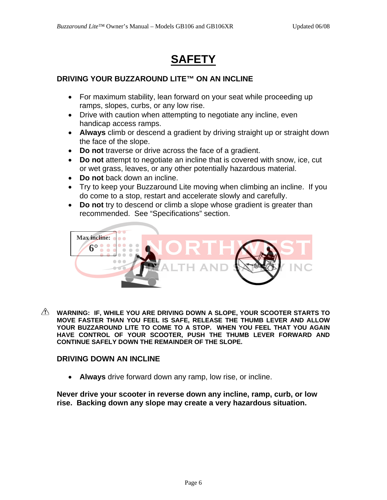# **SAFETY**

### **DRIVING YOUR BUZZAROUND LITE™ ON AN INCLINE**

- For maximum stability, lean forward on your seat while proceeding up ramps, slopes, curbs, or any low rise.
- Drive with caution when attempting to negotiate any incline, even handicap access ramps.
- **Always** climb or descend a gradient by driving straight up or straight down the face of the slope.
- **Do not** traverse or drive across the face of a gradient.
- **Do not** attempt to negotiate an incline that is covered with snow, ice, cut or wet grass, leaves, or any other potentially hazardous material.
- **Do not** back down an incline.
- Try to keep your Buzzaround Lite moving when climbing an incline. If you do come to a stop, restart and accelerate slowly and carefully.
- **Do not** try to descend or climb a slope whose gradient is greater than recommended. See "Specifications" section.



**WARNING: IF, WHILE YOU ARE DRIVING DOWN A SLOPE, YOUR SCOOTER STARTS TO MOVE FASTER THAN YOU FEEL IS SAFE, RELEASE THE THUMB LEVER AND ALLOW YOUR BUZZAROUND LITE TO COME TO A STOP. WHEN YOU FEEL THAT YOU AGAIN HAVE CONTROL OF YOUR SCOOTER, PUSH THE THUMB LEVER FORWARD AND CONTINUE SAFELY DOWN THE REMAINDER OF THE SLOPE.** 

### **DRIVING DOWN AN INCLINE**

• **Always** drive forward down any ramp, low rise, or incline.

**Never drive your scooter in reverse down any incline, ramp, curb, or low rise. Backing down any slope may create a very hazardous situation.**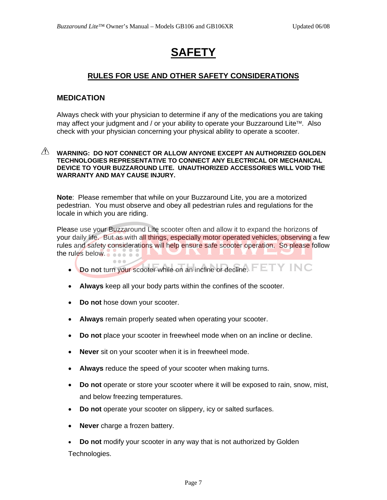# **SAFETY**

### **RULES FOR USE AND OTHER SAFETY CONSIDERATIONS**

#### **MEDICATION**

Always check with your physician to determine if any of the medications you are taking may affect your judgment and / or your ability to operate your Buzzaround Lite™. Also check with your physician concerning your physical ability to operate a scooter.

#### **WARNING: DO NOT CONNECT OR ALLOW ANYONE EXCEPT AN AUTHORIZED GOLDEN TECHNOLOGIES REPRESENTATIVE TO CONNECT ANY ELECTRICAL OR MECHANICAL DEVICE TO YOUR BUZZAROUND LITE. UNAUTHORIZED ACCESSORIES WILL VOID THE WARRANTY AND MAY CAUSE INJURY.**

**Note**: Please remember that while on your Buzzaround Lite, you are a motorized pedestrian. You must observe and obey all pedestrian rules and regulations for the locale in which you are riding.

Please use your Buzzaround Lite scooter often and allow it to expand the horizons of your daily life. But as with all things, especially motor operated vehicles, observing a few rules and safety considerations will help ensure safe scooter operation. So please follow the rules below.

- **Do not** turn your scooter while on an incline or decline.  $FETY INC$
- **Always** keep all your body parts within the confines of the scooter.
- **Do not** hose down your scooter.
- **Always** remain properly seated when operating your scooter.
- **Do not** place your scooter in freewheel mode when on an incline or decline.
- **Never** sit on your scooter when it is in freewheel mode.
- Always reduce the speed of your scooter when making turns.
- **Do not** operate or store your scooter where it will be exposed to rain, snow, mist, and below freezing temperatures.
- **Do not** operate your scooter on slippery, icy or salted surfaces.
- **Never** charge a frozen battery.
- **Do not** modify your scooter in any way that is not authorized by Golden Technologies.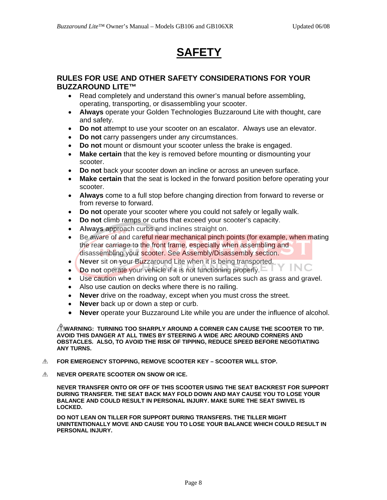# **SAFETY**

#### **RULES FOR USE AND OTHER SAFETY CONSIDERATIONS FOR YOUR BUZZAROUND LITE™**

- Read completely and understand this owner's manual before assembling, operating, transporting, or disassembling your scooter.
- **Always** operate your Golden Technologies Buzzaround Lite with thought, care and safety.
- **Do not** attempt to use your scooter on an escalator. Always use an elevator.
- **Do not** carry passengers under any circumstances.
- **Do not** mount or dismount your scooter unless the brake is engaged.
- **Make certain** that the key is removed before mounting or dismounting your scooter.
- **Do not** back your scooter down an incline or across an uneven surface.
- **Make certain** that the seat is locked in the forward position before operating your scooter.
- **Always** come to a full stop before changing direction from forward to reverse or from reverse to forward.
- **Do not** operate your scooter where you could not safely or legally walk.
- **Do not** climb ramps or curbs that exceed your scooter's capacity.
- **Always** approach curbs and inclines straight on.
- Be aware of and careful near mechanical pinch points (for example, when mating the rear carriage to the front frame, especially when assembling and disassembling your scooter. See Assembly/Disassembly section.
- **Never** sit on your Buzzaround Lite when it is being transported.
- **Do not** operate your vehicle if it is not functioning properly.ETY INC
- Use caution when driving on soft or uneven surfaces such as grass and gravel.
- Also use caution on decks where there is no railing.
- **Never** drive on the roadway, except when you must cross the street.
- **Never** back up or down a step or curb.
- **Never** operate your Buzzaround Lite while you are under the influence of alcohol.

**WARNING: TURNING TOO SHARPLY AROUND A CORNER CAN CAUSE THE SCOOTER TO TIP. AVOID THIS DANGER AT ALL TIMES BY STEERING A WIDE ARC AROUND CORNERS AND OBSTACLES. ALSO, TO AVOID THE RISK OF TIPPING, REDUCE SPEED BEFORE NEGOTIATING ANY TURNS.** 

- $\triangle$ **FOR EMERGENCY STOPPING, REMOVE SCOOTER KEY – SCOOTER WILL STOP.**
- **NEVER OPERATE SCOOTER ON SNOW OR ICE.**   $\wedge$

**NEVER TRANSFER ONTO OR OFF OF THIS SCOOTER USING THE SEAT BACKREST FOR SUPPORT DURING TRANSFER. THE SEAT BACK MAY FOLD DOWN AND MAY CAUSE YOU TO LOSE YOUR BALANCE AND COULD RESULT IN PERSONAL INJURY. MAKE SURE THE SEAT SWIVEL IS LOCKED.** 

**DO NOT LEAN ON TILLER FOR SUPPORT DURING TRANSFERS. THE TILLER MIGHT UNINTENTIONALLY MOVE AND CAUSE YOU TO LOSE YOUR BALANCE WHICH COULD RESULT IN PERSONAL INJURY.**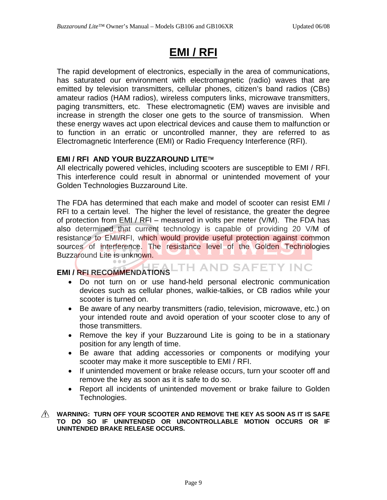## **EMI / RFI**

The rapid development of electronics, especially in the area of communications, has saturated our environment with electromagnetic (radio) waves that are emitted by television transmitters, cellular phones, citizen's band radios (CBs) amateur radios (HAM radios), wireless computers links, microwave transmitters, paging transmitters, etc. These electromagnetic (EM) waves are invisible and increase in strength the closer one gets to the source of transmission. When these energy waves act upon electrical devices and cause them to malfunction or to function in an erratic or uncontrolled manner, they are referred to as Electromagnetic Interference (EMI) or Radio Frequency Interference (RFI).

### **EMI / RFI AND YOUR BUZZAROUND LITE**™

All electrically powered vehicles, including scooters are susceptible to EMI / RFI. This interference could result in abnormal or unintended movement of your Golden Technologies Buzzaround Lite.

The FDA has determined that each make and model of scooter can resist EMI / RFI to a certain level. The higher the level of resistance, the greater the degree of protection from EMI / RFI – measured in volts per meter (V/M). The FDA has also determined that current technology is capable of providing 20 V/M of resistance to EMI/RFI, which would provide useful protection against common sources of interference. The resistance level of the Golden Technologies Buzzaround Lite is unknown.

# **EMI / RFI RECOMMENDATIONS**

- Do not turn on or use hand-held personal electronic communication devices such as cellular phones, walkie-talkies, or CB radios while your scooter is turned on.
- Be aware of any nearby transmitters (radio, television, microwave, etc.) on your intended route and avoid operation of your scooter close to any of those transmitters.
- Remove the key if your Buzzaround Lite is going to be in a stationary position for any length of time.
- Be aware that adding accessories or components or modifying your scooter may make it more susceptible to EMI / RFI.
- If unintended movement or brake release occurs, turn your scooter off and remove the key as soon as it is safe to do so.
- Report all incidents of unintended movement or brake failure to Golden Technologies.

#### **WARNING: TURN OFF YOUR SCOOTER AND REMOVE THE KEY AS SOON AS IT IS SAFE TO DO SO IF UNINTENDED OR UNCONTROLLABLE MOTION OCCURS OR IF UNINTENDED BRAKE RELEASE OCCURS.**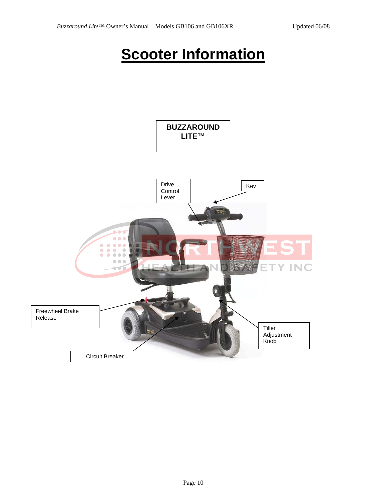# **Scooter Information**

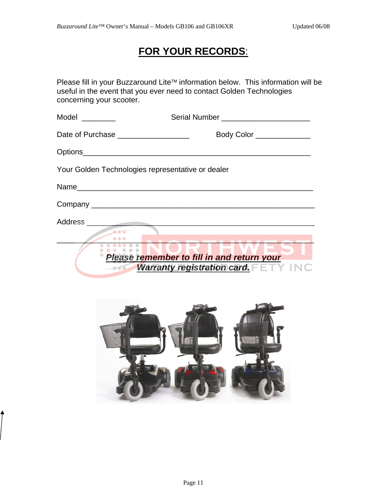### **FOR YOUR RECORDS**:

Please fill in your Buzzaround Lite™ information below. This information will be useful in the event that you ever need to contact Golden Technologies concerning your scooter.

| Model ________                                    | Serial Number ________________________                                                                    |
|---------------------------------------------------|-----------------------------------------------------------------------------------------------------------|
| Date of Purchase ____________________             | Body Color _____________                                                                                  |
|                                                   |                                                                                                           |
| Your Golden Technologies representative or dealer |                                                                                                           |
|                                                   |                                                                                                           |
|                                                   |                                                                                                           |
| $\bullet\bullet\bullet$<br>0.000000               | <b>LIWT</b><br><b>Please remember to fill in and return your<br/>Warranty registration card.</b> FETY INC |
|                                                   |                                                                                                           |

 $\hat{\mathcal{L}}$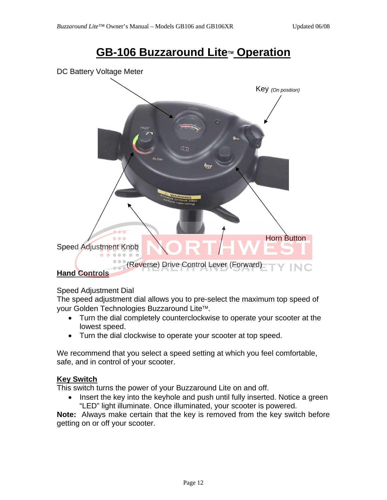### **GB-106 Buzzaround Lite**™ **Operation**





### Speed Adjustment Dial

The speed adjustment dial allows you to pre-select the maximum top speed of your Golden Technologies Buzzaround Lite™.

- Turn the dial completely counterclockwise to operate your scooter at the lowest speed.
- Turn the dial clockwise to operate your scooter at top speed.

We recommend that you select a speed setting at which you feel comfortable, safe, and in control of your scooter.

### **Key Switch**

This switch turns the power of your Buzzaround Lite on and off.

• Insert the key into the keyhole and push until fully inserted. Notice a green "LED" light illuminate. Once illuminated, your scooter is powered.

**Note:** Always make certain that the key is removed from the key switch before getting on or off your scooter.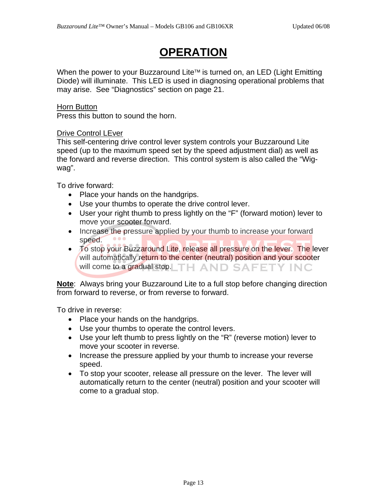# **OPERATION**

When the power to your Buzzaround Lite™ is turned on, an LED (Light Emitting Diode) will illuminate. This LED is used in diagnosing operational problems that may arise. See "Diagnostics" section on page 21.

### **Horn Button**

Press this button to sound the horn.

### Drive Control LEver

This self-centering drive control lever system controls your Buzzaround Lite speed (up to the maximum speed set by the speed adjustment dial) as well as the forward and reverse direction. This control system is also called the "Wigwag".

To drive forward:

- Place your hands on the handgrips.
- Use your thumbs to operate the drive control lever.
- User your right thumb to press lightly on the "F" (forward motion) lever to move your scooter forward.
- Increase the pressure applied by your thumb to increase your forward speed.
- To stop your Buzzaround Lite, release all pressure on the lever. The lever will automatically return to the center (neutral) position and your scooter will come to a gradual stop. TH AND SAFETY INC

**Note**: Always bring your Buzzaround Lite to a full stop before changing direction from forward to reverse, or from reverse to forward.

To drive in reverse:

- Place your hands on the handgrips.
- Use your thumbs to operate the control levers.
- Use your left thumb to press lightly on the "R" (reverse motion) lever to move your scooter in reverse.
- Increase the pressure applied by your thumb to increase your reverse speed.
- To stop your scooter, release all pressure on the lever. The lever will automatically return to the center (neutral) position and your scooter will come to a gradual stop.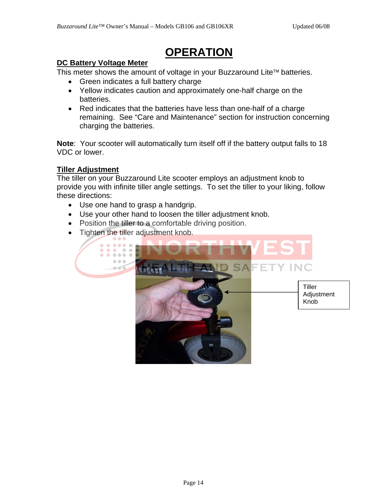# **OPERATION**

### **DC Battery Voltage Meter**

This meter shows the amount of voltage in your Buzzaround Lite™ batteries.

- Green indicates a full battery charge
- Yellow indicates caution and approximately one-half charge on the batteries.
- Red indicates that the batteries have less than one-half of a charge remaining. See "Care and Maintenance" section for instruction concerning charging the batteries.

**Note**: Your scooter will automatically turn itself off if the battery output falls to 18 VDC or lower.

### **Tiller Adjustment**

The tiller on your Buzzaround Lite scooter employs an adjustment knob to provide you with infinite tiller angle settings. To set the tiller to your liking, follow these directions:

- Use one hand to grasp a handgrip.
- Use your other hand to loosen the tiller adjustment knob.
- Position the tiller to a comfortable driving position.
- Tighten the tiller adjustment knob.

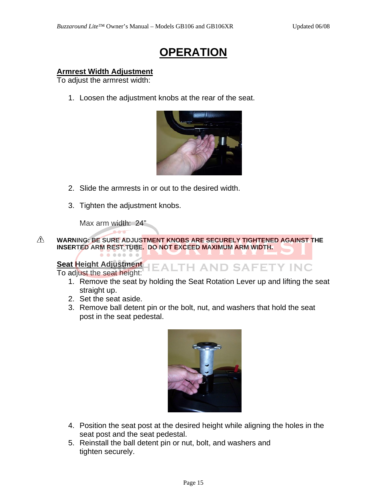## **OPERATION**

### **Armrest Width Adjustment**

To adjust the armrest width:

1. Loosen the adjustment knobs at the rear of the seat.



- 2. Slide the armrests in or out to the desired width.
- 3. Tighten the adjustment knobs.

Max arm width: 24"

. . . . . . .

 $\triangle$ **WARNING: BE SURE ADJUSTMENT KNOBS ARE SECURELY TIGHTENED AGAINST THE INSERTED ARM REST TUBE. DO NOT EXCEED MAXIMUM ARM WIDTH.**

# **Seat Height Adjustment | EALTH AND SAFETY INC**

To adjust the seat height:

- 1. Remove the seat by holding the Seat Rotation Lever up and lifting the seat straight up.
- 2. Set the seat aside.
- 3. Remove ball detent pin or the bolt, nut, and washers that hold the seat post in the seat pedestal.



- 4. Position the seat post at the desired height while aligning the holes in the seat post and the seat pedestal.
- 5. Reinstall the ball detent pin or nut, bolt, and washers and tighten securely.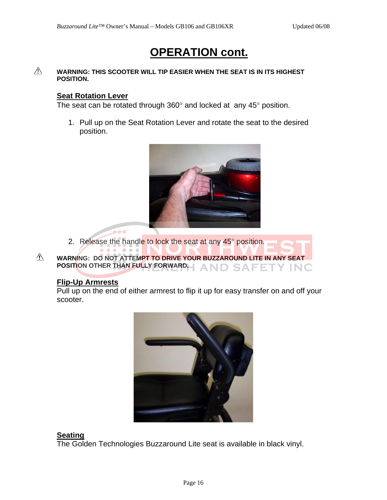## **OPERATION cont.**

#### $\triangle$ **WARNING: THIS SCOOTER WILL TIP EASIER WHEN THE SEAT IS IN ITS HIGHEST POSITION.**

### **Seat Rotation Lever**

The seat can be rotated through  $360^\circ$  and locked at any  $45^\circ$  position.

1. Pull up on the Seat Rotation Lever and rotate the seat to the desired position.



- 2. Release the handle to lock the seat at any 45° position.
- $\triangle$ **WARNING: DO NOT ATTEMPT TO DRIVE YOUR BUZZAROUND LITE IN ANY SEAT POSITION OTHER THAN FULLY FORWARD.** SAFET Y INC

#### **Flip-Up Armrests**

**Alberta** 

Pull up on the end of either armrest to flip it up for easy transfer on and off your scooter.



### **Seating**

The Golden Technologies Buzzaround Lite seat is available in black vinyl.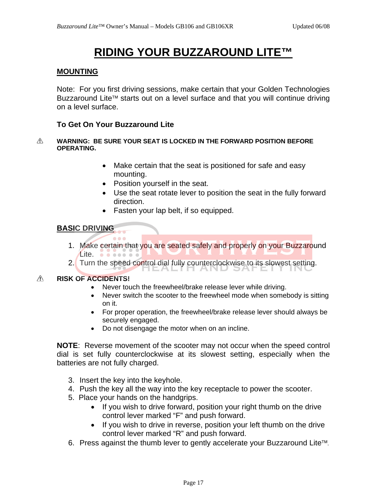# **RIDING YOUR BUZZAROUND LITE™**

#### **MOUNTING**

Note: For you first driving sessions, make certain that your Golden Technologies Buzzaround Lite™ starts out on a level surface and that you will continue driving on a level surface.

#### **To Get On Your Buzzaround Lite**

 $\bullet\bullet\bullet$ 

#### **WARNING: BE SURE YOUR SEAT IS LOCKED IN THE FORWARD POSITION BEFORE**   $\triangle$ **OPERATING.**

- Make certain that the seat is positioned for safe and easy mounting.
- Position yourself in the seat.
- Use the seat rotate lever to position the seat in the fully forward direction.
- Fasten your lap belt, if so equipped.

### **BASIC DRIVING**

- 1. Make certain that you are seated safely and properly on your Buzzaround Lite. . . . . . . .
- 2. Turn the speed control dial fully counterclockwise to its slowest setting.

#### $\wedge$ **RISK OF ACCIDENTS!**

- Never touch the freewheel/brake release lever while driving.
- Never switch the scooter to the freewheel mode when somebody is sitting on it.
- For proper operation, the freewheel/brake release lever should always be securely engaged.
- Do not disengage the motor when on an incline.

**NOTE**: Reverse movement of the scooter may not occur when the speed control dial is set fully counterclockwise at its slowest setting, especially when the batteries are not fully charged.

- 3. Insert the key into the keyhole.
- 4. Push the key all the way into the key receptacle to power the scooter.
- 5. Place your hands on the handgrips.
	- If you wish to drive forward, position your right thumb on the drive control lever marked "F" and push forward.
	- If you wish to drive in reverse, position your left thumb on the drive control lever marked "R" and push forward.
- 6. Press against the thumb lever to gently accelerate your Buzzaround Lite™.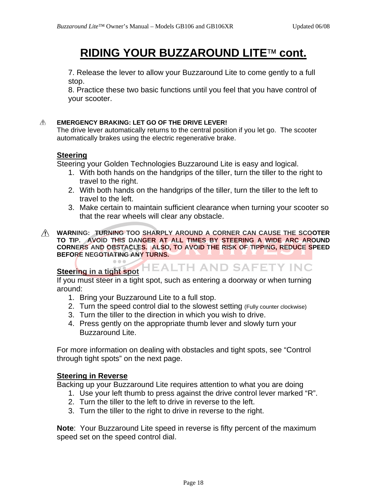## **RIDING YOUR BUZZAROUND LITE**™ **cont.**

7. Release the lever to allow your Buzzaround Lite to come gently to a full stop.

8. Practice these two basic functions until you feel that you have control of your scooter.

#### $\wedge$ **EMERGENCY BRAKING: LET GO OF THE DRIVE LEVER!**

The drive lever automatically returns to the central position if you let go. The scooter automatically brakes using the electric regenerative brake.

### **Steering**

Steering your Golden Technologies Buzzaround Lite is easy and logical.

- 1. With both hands on the handgrips of the tiller, turn the tiller to the right to travel to the right.
- 2. With both hands on the handgrips of the tiller, turn the tiller to the left to travel to the left.
- 3. Make certain to maintain sufficient clearance when turning your scooter so that the rear wheels will clear any obstacle.

**IEALTH AND SAFETY INC** 

**WARNING: TURNING TOO SHARPLY AROUND A CORNER CAN CAUSE THE SCOOTER TO TIP. AVOID THIS DANGER AT ALL TIMES BY STEERING A WIDE ARC AROUND CORNERS AND OBSTACLES. ALSO, TO AVOID THE RISK OF TIPPING, REDUCE SPEED BEFORE NEGOTIATING ANY TURNS.** 

### **Steering in a tight spot**

If you must steer in a tight spot, such as entering a doorway or when turning around:

- 1. Bring your Buzzaround Lite to a full stop.
- 2. Turn the speed control dial to the slowest setting (Fully counter clockwise)
- 3. Turn the tiller to the direction in which you wish to drive.
- 4. Press gently on the appropriate thumb lever and slowly turn your Buzzaround Lite.

For more information on dealing with obstacles and tight spots, see "Control through tight spots" on the next page.

### **Steering in Reverse**

Backing up your Buzzaround Lite requires attention to what you are doing

- 1. Use your left thumb to press against the drive control lever marked "R".
- 2. Turn the tiller to the left to drive in reverse to the left.
- 3. Turn the tiller to the right to drive in reverse to the right.

**Note**: Your Buzzaround Lite speed in reverse is fifty percent of the maximum speed set on the speed control dial.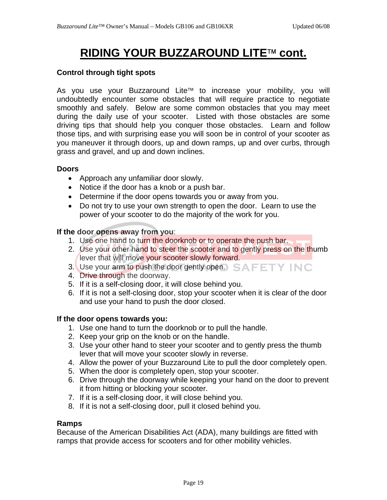# **RIDING YOUR BUZZAROUND LITE**™ **cont.**

### **Control through tight spots**

As you use your Buzzaround Lite™ to increase your mobility, you will undoubtedly encounter some obstacles that will require practice to negotiate smoothly and safely. Below are some common obstacles that you may meet during the daily use of your scooter. Listed with those obstacles are some driving tips that should help you conquer those obstacles. Learn and follow those tips, and with surprising ease you will soon be in control of your scooter as you maneuver it through doors, up and down ramps, up and over curbs, through grass and gravel, and up and down inclines.

#### **Doors**

- Approach any unfamiliar door slowly.
- Notice if the door has a knob or a push bar.
- Determine if the door opens towards you or away from you.
- Do not try to use your own strength to open the door. Learn to use the power of your scooter to do the majority of the work for you.

#### **If the door opens away from you**:

- 1. Use one hand to turn the doorknob or to operate the push bar.
- 2. Use your other hand to steer the scooter and to gently press on the thumb lever that will move your scooter slowly forward.
- 3. Use your arm to push the door gently open. SAFETY INC
- 4. Drive through the doorway.
- 5. If it is a self-closing door, it will close behind you.
- 6. If it is not a self-closing door, stop your scooter when it is clear of the door and use your hand to push the door closed.

#### **If the door opens towards you:**

- 1. Use one hand to turn the doorknob or to pull the handle.
- 2. Keep your grip on the knob or on the handle.
- 3. Use your other hand to steer your scooter and to gently press the thumb lever that will move your scooter slowly in reverse.
- 4. Allow the power of your Buzzaround Lite to pull the door completely open.
- 5. When the door is completely open, stop your scooter.
- 6. Drive through the doorway while keeping your hand on the door to prevent it from hitting or blocking your scooter.
- 7. If it is a self-closing door, it will close behind you.
- 8. If it is not a self-closing door, pull it closed behind you.

#### **Ramps**

Because of the American Disabilities Act (ADA), many buildings are fitted with ramps that provide access for scooters and for other mobility vehicles.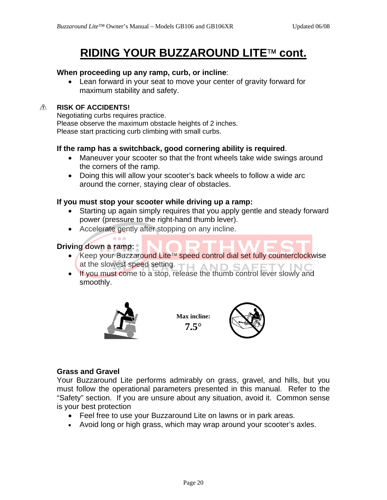## **RIDING YOUR BUZZAROUND LITE**™ **cont.**

#### **When proceeding up any ramp, curb, or incline**:

• Lean forward in your seat to move your center of gravity forward for maximum stability and safety.

#### $\triangle$ **RISK OF ACCIDENTS!**

Negotiating curbs requires practice. Please observe the maximum obstacle heights of 2 inches. Please start practicing curb climbing with small curbs.

### **If the ramp has a switchback, good cornering ability is required**.

- Maneuver your scooter so that the front wheels take wide swings around the corners of the ramp.
- Doing this will allow your scooter's back wheels to follow a wide arc around the corner, staying clear of obstacles.

#### **If you must stop your scooter while driving up a ramp:**

- Starting up again simply requires that you apply gentle and steady forward power (pressure to the right-hand thumb lever).
- Accelerate gently after stopping on any incline.

### **Driving down a ramp:**

- Keep your Buzzaround Lite™ speed control dial set fully counterclockwise at the slowest speed setting. TH AND SAFE
- If you must come to a stop, release the thumb control lever slowly and smoothly.



 $\bullet\bullet\bullet$ 

**Max incline: 7.5**°



#### **Grass and Gravel**

Your Buzzaround Lite performs admirably on grass, gravel, and hills, but you must follow the operational parameters presented in this manual. Refer to the "Safety" section. If you are unsure about any situation, avoid it. Common sense is your best protection

- Feel free to use your Buzzaround Lite on lawns or in park areas.
- Avoid long or high grass, which may wrap around your scooter's axles.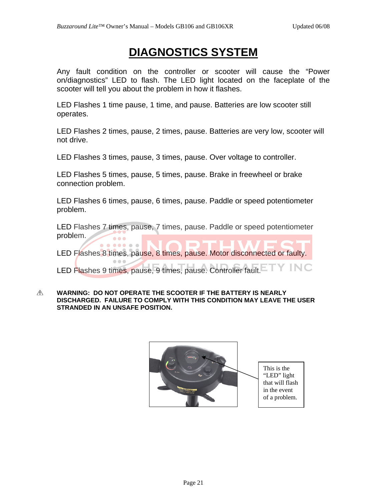## **DIAGNOSTICS SYSTEM**

Any fault condition on the controller or scooter will cause the "Power on/diagnostics" LED to flash. The LED light located on the faceplate of the scooter will tell you about the problem in how it flashes.

LED Flashes 1 time pause, 1 time, and pause. Batteries are low scooter still operates.

LED Flashes 2 times, pause, 2 times, pause. Batteries are very low, scooter will not drive.

LED Flashes 3 times, pause, 3 times, pause. Over voltage to controller.

LED Flashes 5 times, pause, 5 times, pause. Brake in freewheel or brake connection problem.

LED Flashes 6 times, pause, 6 times, pause. Paddle or speed potentiometer problem.

LED Flashes 7 times, pause, 7 times, pause. Paddle or speed potentiometer problem.  $\bullet$   $\bullet$   $\bullet$ 

LED Flashes 8 times, pause, 8 times, pause. Motor disconnected or faulty.

 $\bullet$ 

.....

 $\mathcal{L} = \mathcal{L}$ 

Y INC LED Flashes 9 times, pause, 9 times, pause. Controller fault.

 $\triangle$ **WARNING: DO NOT OPERATE THE SCOOTER IF THE BATTERY IS NEARLY DISCHARGED. FAILURE TO COMPLY WITH THIS CONDITION MAY LEAVE THE USER STRANDED IN AN UNSAFE POSITION.** 

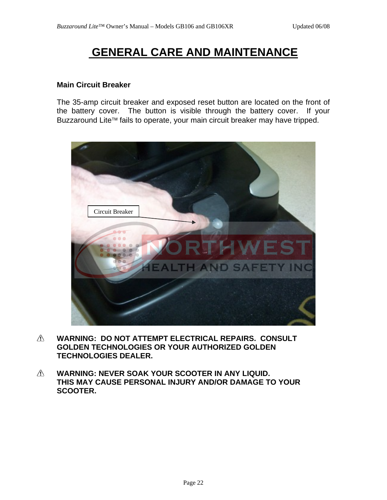#### **Main Circuit Breaker**

The 35-amp circuit breaker and exposed reset button are located on the front of the battery cover. The button is visible through the battery cover. If your Buzzaround Lite™ fails to operate, your main circuit breaker may have tripped.



- $\triangle$ **WARNING: DO NOT ATTEMPT ELECTRICAL REPAIRS. CONSULT GOLDEN TECHNOLOGIES OR YOUR AUTHORIZED GOLDEN TECHNOLOGIES DEALER.**
- $\triangle$ **WARNING: NEVER SOAK YOUR SCOOTER IN ANY LIQUID. THIS MAY CAUSE PERSONAL INJURY AND/OR DAMAGE TO YOUR SCOOTER.**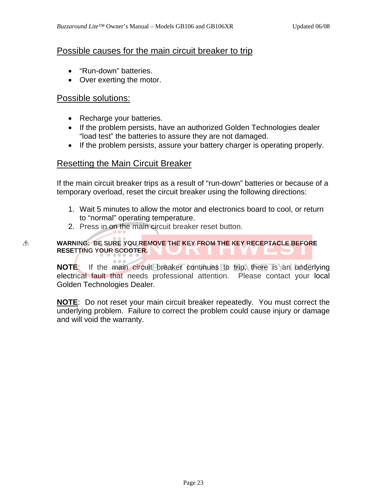### Possible causes for the main circuit breaker to trip

- "Run-down" batteries.
- Over exerting the motor.

### Possible solutions:

⚠

- Recharge your batteries.
- If the problem persists, have an authorized Golden Technologies dealer "load test" the batteries to assure they are not damaged.
- If the problem persists, assure your battery charger is operating properly.

### Resetting the Main Circuit Breaker

If the main circuit breaker trips as a result of "run-down" batteries or because of a temporary overload, reset the circuit breaker using the following directions:

- 1. Wait 5 minutes to allow the motor and electronics board to cool, or return to "normal" operating temperature.
- 2. Press in on the main circuit breaker reset button.

#### **WARNING: BE SURE YOU REMOVE THE KEY FROM THE KEY RECEPTACLE BEFORE RESETTING YOUR SCOOTER.**

**NOTE**: If the main circuit breaker continues to trip, there is an underlying electrical fault that needs professional attention. Please contact your local Golden Technologies Dealer.

**NOTE**: Do not reset your main circuit breaker repeatedly. You must correct the underlying problem. Failure to correct the problem could cause injury or damage and will void the warranty.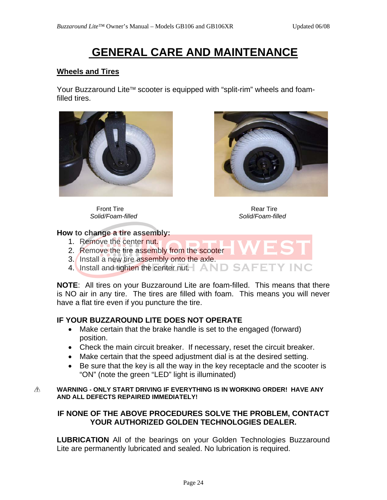### **Wheels and Tires**

Your Buzzaround Lite™ scooter is equipped with "split-rim" wheels and foamfilled tires.



Front Tire **Rear Time** Rear Tire *Solid/Foam-filled Solid/Foam-filled* 



#### **How to change a tire assembly:**

- 1. Remove the center nut.
- 2. Remove the tire assembly from the scooter
- 3. Install a new tire assembly onto the axle.
- 4. Install and tighten the center nut.  $\Box$  AND SAFET

**NOTE**: All tires on your Buzzaround Lite are foam-filled. This means that there is NO air in any tire. The tires are filled with foam. This means you will never have a flat tire even if you puncture the tire.

### **IF YOUR BUZZAROUND LITE DOES NOT OPERATE**

- Make certain that the brake handle is set to the engaged (forward) position.
- Check the main circuit breaker. If necessary, reset the circuit breaker.
- Make certain that the speed adjustment dial is at the desired setting.
- Be sure that the key is all the way in the key receptacle and the scooter is "ON" (note the green "LED" light is illuminated)

#### **WARNING - ONLY START DRIVING IF EVERYTHING IS IN WORKING ORDER! HAVE ANY**  ⚠ **AND ALL DEFECTS REPAIRED IMMEDIATELY!**

### **IF NONE OF THE ABOVE PROCEDURES SOLVE THE PROBLEM, CONTACT YOUR AUTHORIZED GOLDEN TECHNOLOGIES DEALER.**

**LUBRICATION** All of the bearings on your Golden Technologies Buzzaround Lite are permanently lubricated and sealed. No lubrication is required.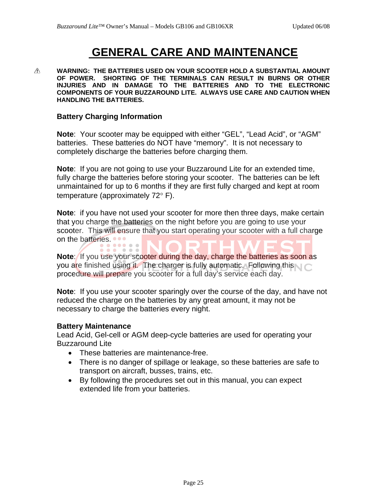$\triangle$ **WARNING: THE BATTERIES USED ON YOUR SCOOTER HOLD A SUBSTANTIAL AMOUNT OF POWER. SHORTING OF THE TERMINALS CAN RESULT IN BURNS OR OTHER INJURIES AND IN DAMAGE TO THE BATTERIES AND TO THE ELECTRONIC COMPONENTS OF YOUR BUZZAROUND LITE. ALWAYS USE CARE AND CAUTION WHEN HANDLING THE BATTERIES.** 

#### **Battery Charging Information**

**Note**: Your scooter may be equipped with either "GEL", "Lead Acid", or "AGM" batteries. These batteries do NOT have "memory". It is not necessary to completely discharge the batteries before charging them.

**Note**: If you are not going to use your Buzzaround Lite for an extended time, fully charge the batteries before storing your scooter. The batteries can be left unmaintained for up to 6 months if they are first fully charged and kept at room temperature (approximately 72° F).

**Note**: if you have not used your scooter for more then three days, make certain that you charge the batteries on the night before you are going to use your scooter. This will ensure that you start operating your scooter with a full charge on the batteries.

**Note:** If you use your scooter during the day, charge the batteries as soon as you are finished using it. The charger is fully automatic. Following this research procedure will prepare you scooter for a full day's service each day.

**Note**: If you use your scooter sparingly over the course of the day, and have not reduced the charge on the batteries by any great amount, it may not be necessary to charge the batteries every night.

#### **Battery Maintenance**

Lead Acid, Gel-cell or AGM deep-cycle batteries are used for operating your Buzzaround Lite

- These batteries are maintenance-free.
- There is no danger of spillage or leakage, so these batteries are safe to transport on aircraft, busses, trains, etc.
- By following the procedures set out in this manual, you can expect extended life from your batteries.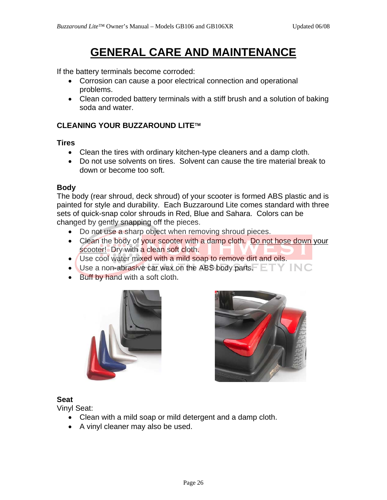If the battery terminals become corroded:

- Corrosion can cause a poor electrical connection and operational problems.
- Clean corroded battery terminals with a stiff brush and a solution of baking soda and water.

### **CLEANING YOUR BUZZAROUND LITE**™

**Tires** 

- Clean the tires with ordinary kitchen-type cleaners and a damp cloth.
- Do not use solvents on tires. Solvent can cause the tire material break to down or become too soft.

#### **Body**

The body (rear shroud, deck shroud) of your scooter is formed ABS plastic and is painted for style and durability. Each Buzzaround Lite comes standard with three sets of quick-snap color shrouds in Red, Blue and Sahara. Colors can be changed by gently snapping off the pieces.

- Do not use a sharp object when removing shroud pieces.
- Clean the body of your scooter with a damp cloth. Do not hose down your scooter! Dry with a clean soft cloth.
- Use cool water mixed with a mild soap to remove dirt and oils.
- Use a non-abrasive car wax on the ABS body parts.  $ETY IN C$
- Buff by hand with a soft cloth.





### **Seat**

Vinyl Seat:

- Clean with a mild soap or mild detergent and a damp cloth.
- A vinyl cleaner may also be used.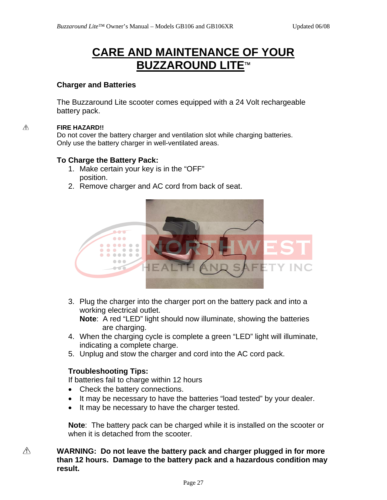## **CARE AND MAINTENANCE OF YOUR BUZZAROUND LITE**™

#### **Charger and Batteries**

The Buzzaround Lite scooter comes equipped with a 24 Volt rechargeable battery pack.

#### $\triangle$ **FIRE HAZARD!!**

Do not cover the battery charger and ventilation slot while charging batteries. Only use the battery charger in well-ventilated areas.

#### **To Charge the Battery Pack:**

- 1. Make certain your key is in the "OFF" position.
- 2. Remove charger and AC cord from back of seat.



3. Plug the charger into the charger port on the battery pack and into a working electrical outlet.

**Note**: A red "LED" light should now illuminate, showing the batteries are charging.

- 4. When the charging cycle is complete a green "LED" light will illuminate, indicating a complete charge.
- 5. Unplug and stow the charger and cord into the AC cord pack.

### **Troubleshooting Tips:**

If batteries fail to charge within 12 hours

- Check the battery connections.
- It may be necessary to have the batteries "load tested" by your dealer.
- It may be necessary to have the charger tested.

**Note**: The battery pack can be charged while it is installed on the scooter or when it is detached from the scooter.

#### **WARNING: Do not leave the battery pack and charger plugged in for more than 12 hours. Damage to the battery pack and a hazardous condition may result.**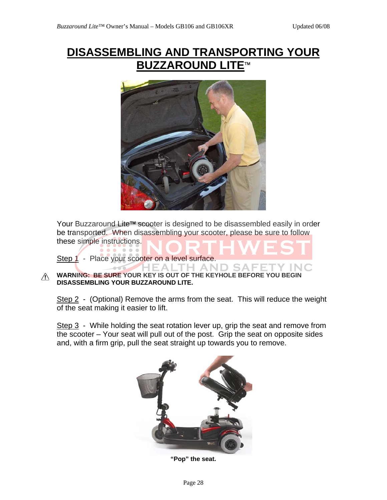# **DISASSEMBLING AND TRANSPORTING YOUR BUZZAROUND LITE**™



Your Buzzaround Lite™ scooter is designed to be disassembled easily in order be transported. When disassembling your scooter, please be sure to follow these simple instructions.

Step 1 - Place your scooter on a level surface.

**TH AND SAI WARNING: BE SURE YOUR KEY IS OUT OF THE KEYHOLE BEFORE YOU BEGIN DISASSEMBLING YOUR BUZZAROUND LITE.** 

Step 2 - (Optional) Remove the arms from the seat. This will reduce the weight of the seat making it easier to lift.

Step 3 - While holding the seat rotation lever up, grip the seat and remove from the scooter – Your seat will pull out of the post. Grip the seat on opposite sides and, with a firm grip, pull the seat straight up towards you to remove.



**"Pop" the seat.**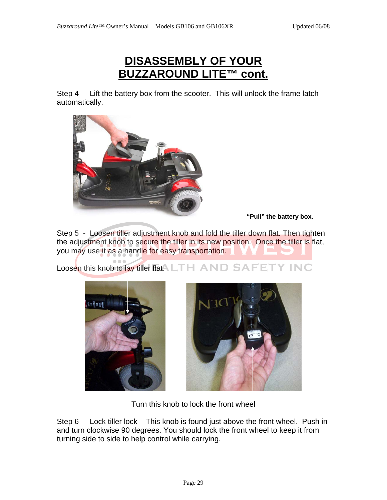### **DISASSEMBLY OF YOUR BUZZAROUND LITE™ cont.**

Step  $4$  - Lift the battery box from the scooter. This will unlock the frame latch automatically.



**"Pull" the battery box.** 

Step 5 - Loosen tiller adjustment knob and fold the tiller down flat. Then tighten the adjustment knob to secure the tiller in its new position. Once the tiller is flat, you may use it as a handle for easy transportation.

Loosen this knob to lay tiller flat. LTH AND SAFETY INC





Turn this knob to lock the front wheel

Step  $6$  - Lock tiller lock – This knob is found just above the front wheel. Push in and turn clockwise 90 degrees. You should lock the front wheel to keep it from turning side to side to help control while carrying.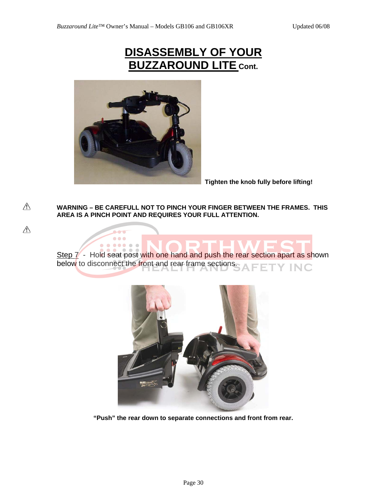### **DISASSEMBLY OF YOUR BUZZAROUND LITE Cont.**



 $\bullet\bullet\bullet$ 

 $\begin{array}{ccccccccccccccccc} \bullet & \bullet & \bullet & \bullet & \bullet & \bullet & \bullet \end{array}$ 

 $\bullet$   $\bullet$ 

⚠

 $\wedge$ 

**Tighten the knob fully before lifting!** 

**WARNING – BE CAREFULL NOT TO PINCH YOUR FINGER BETWEEN THE FRAMES. THIS AREA IS A PINCH POINT AND REQUIRES YOUR FULL ATTENTION.** 

Step 7 - Hold seat post with one hand and push the rear section apart as shown below to disconnect the front and rear frame sections. **Y INC** 



**"Push" the rear down to separate connections and front from rear.**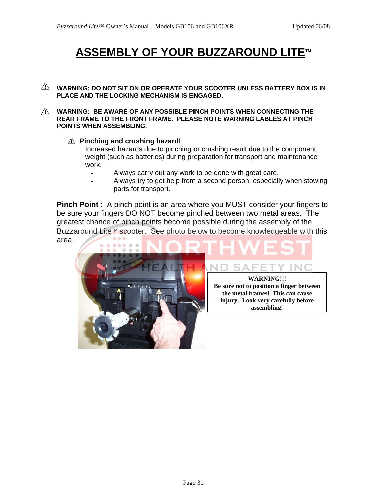# **ASSEMBLY OF YOUR BUZZAROUND LITE**™

- $\mathbb A$  warning: do not sit on or operate your scooter unless battery box is in **PLACE AND THE LOCKING MECHANISM IS ENGAGED.**
- **WARNING: BE AWARE OF ANY POSSIBLE PINCH POINTS WHEN CONNECTING THE REAR FRAME TO THE FRONT FRAME. PLEASE NOTE WARNING LABLES AT PINCH POINTS WHEN ASSEMBLING.** 
	- **Pinching and crushing hazard!**

Increased hazards due to pinching or crushing result due to the component weight (such as batteries) during preparation for transport and maintenance work.

- Always carry out any work to be done with great care.
- Always try to get help from a second person, especially when stowing parts for transport.

**Pinch Point** : A pinch point is an area where you MUST consider your fingers to be sure your fingers DO NOT become pinched between two metal areas. The greatest chance of pinch points become possible during the assembly of the Buzzaround Lite™ scooter. See photo below to become knowledgeable with this  $\bullet$   $\bullet$   $\bullet$ area.



**WARNING!!! Be sure not to position a finger between the metal frames! This can cause injury. Look very carefully before assembling!**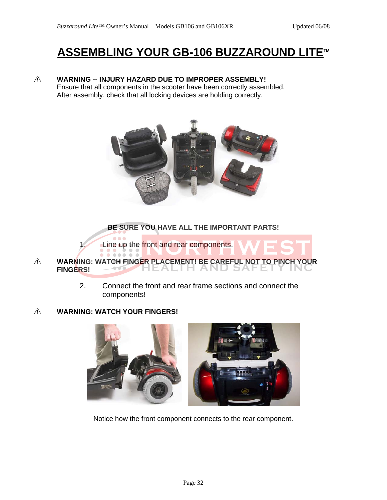## **ASSEMBLING YOUR GB-106 BUZZAROUND LITE**™

⚠ **WARNING -- INJURY HAZARD DUE TO IMPROPER ASSEMBLY!** 

Ensure that all components in the scooter have been correctly assembled. After assembly, check that all locking devices are holding correctly.



**BE SURE YOU HAVE ALL THE IMPORTANT PARTS!** 

1. Line up the front and rear components.  $\bullet\bullet\bullet\bullet\bullet$ 

- $\wedge$ **WARNING: WATCH FINGER PLACEMENT! BE CAREFUL NOT TO PINCH YOUR FINGERS!** 1 Z
	- 2. Connect the front and rear frame sections and connect the components!

#### ⚠ **WARNING: WATCH YOUR FINGERS!**



Notice how the front component connects to the rear component.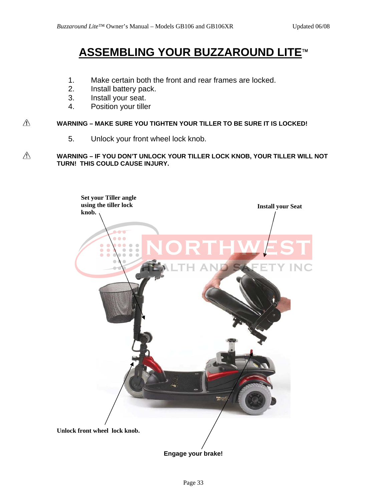### **ASSEMBLING YOUR BUZZAROUND LITE**™

- 1. Make certain both the front and rear frames are locked.
- 2. Install battery pack.
- 3. Install your seat.
- 4. Position your tiller

#### $\triangle$ **WARNING – MAKE SURE YOU TIGHTEN YOUR TILLER TO BE SURE IT IS LOCKED!**

5. Unlock your front wheel lock knob.

#### $\mathbb{V}$ **WARNING – IF YOU DON'T UNLOCK YOUR TILLER LOCK KNOB, YOUR TILLER WILL NOT TURN! THIS COULD CAUSE INJURY.**



**Engage your brake!**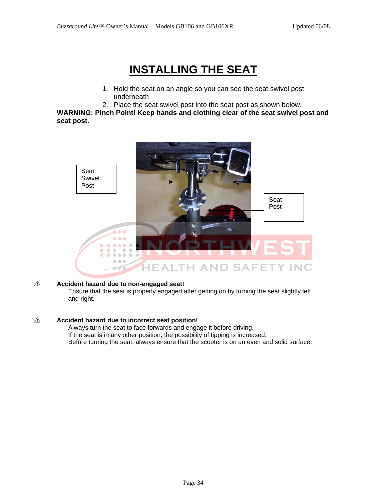# **INSTALLING THE SEAT**

- 1. Hold the seat on an angle so you can see the seat swivel post underneath
- 2. Place the seat swivel post into the seat post as shown below.

**WARNING: Pinch Point! Keep hands and clothing clear of the seat swivel post and seat post.** 



#### ⚠ **Accident hazard due to non-engaged seat!**

Ensure that the seat is properly engaged after getting on by turning the seat slightly left and right.

#### ⚠ **Accident hazard due to incorrect seat position!**

Always turn the seat to face forwards and engage it before driving. If the seat is in any other position, the possibility of tipping is increased. Before turning the seat, always ensure that the scooter is on an even and solid surface.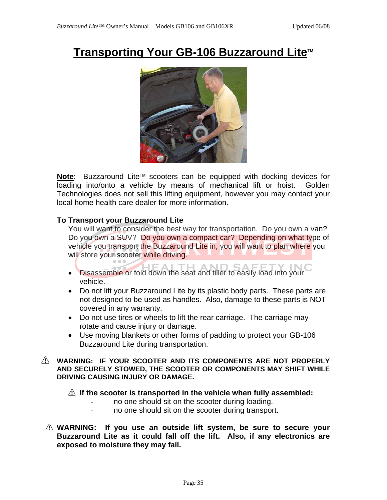## **Transporting Your GB-106 Buzzaround Lite**™



**Note**: Buzzaround Lite™ scooters can be equipped with docking devices for loading into/onto a vehicle by means of mechanical lift or hoist. Golden Technologies does not sell this lifting equipment, however you may contact your local home health care dealer for more information.

#### **To Transport your Buzzaround Lite**

You will want to consider the best way for transportation. Do you own a van? Do you own a SUV? Do you own a compact car? Depending on what type of vehicle you transport the Buzzaround Lite in, you will want to plan where you will store your scooter while driving.

- Disassemble or fold down the seat and tiller to easily load into your vehicle.
- Do not lift your Buzzaround Lite by its plastic body parts. These parts are not designed to be used as handles. Also, damage to these parts is NOT covered in any warranty.
- Do not use tires or wheels to lift the rear carriage. The carriage may rotate and cause injury or damage.
- Use moving blankets or other forms of padding to protect your GB-106 Buzzaround Lite during transportation.

#### **WARNING: IF YOUR SCOOTER AND ITS COMPONENTS ARE NOT PROPERLY AND SECURELY STOWED, THE SCOOTER OR COMPONENTS MAY SHIFT WHILE DRIVING CAUSING INJURY OR DAMAGE.**

#### **If the scooter is transported in the vehicle when fully assembled:**

- no one should sit on the scooter during loading.
- no one should sit on the scooter during transport.
- **WARNING: If you use an outside lift system, be sure to secure your Buzzaround Lite as it could fall off the lift. Also, if any electronics are exposed to moisture they may fail.**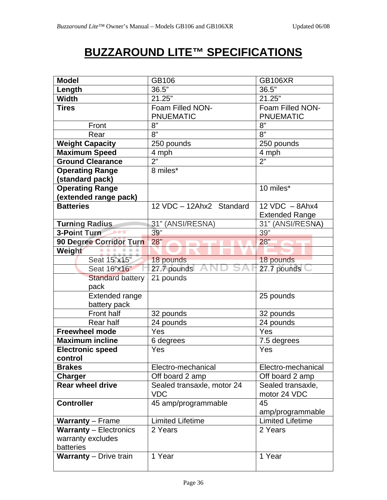# **BUZZAROUND LITE™ SPECIFICATIONS**

| <b>Model</b>                  | GB106                      | <b>GB106XR</b>          |
|-------------------------------|----------------------------|-------------------------|
| Length                        | 36.5"                      | 36.5"                   |
| <b>Width</b>                  | 21.25"                     | 21.25"                  |
| <b>Tires</b>                  | Foam Filled NON-           | Foam Filled NON-        |
|                               | <b>PNUEMATIC</b>           | <b>PNUEMATIC</b>        |
| Front                         | 8"                         | 8"                      |
| Rear                          | 8"                         | 8"                      |
| <b>Weight Capacity</b>        | 250 pounds                 | 250 pounds              |
| <b>Maximum Speed</b>          | 4 mph                      | 4 mph                   |
| <b>Ground Clearance</b>       | 2"                         | $\overline{2}$          |
| <b>Operating Range</b>        | 8 miles*                   |                         |
| (standard pack)               |                            |                         |
| <b>Operating Range</b>        |                            | 10 miles*               |
| (extended range pack)         |                            |                         |
| <b>Batteries</b>              | 12 VDC - 12Ahx2 Standard   | $12$ VDC $-$ 8Ahx4      |
|                               |                            | <b>Extended Range</b>   |
| <b>Turning Radius</b>         | 31" (ANSI/RESNA)           | 31" (ANSI/RESNA)        |
| 3-Point Turn                  | 39"                        | 39"                     |
| 90 Degree Corridor Turn       | 28"                        | 28"                     |
| Weight                        |                            |                         |
| Seat 15"x15"                  | 18 pounds                  | 18 pounds               |
| Seat 16"x16"                  | 27.7 pounds                | 27.7 pounds             |
| <b>Standard battery</b>       | 21 pounds                  |                         |
| pack                          |                            |                         |
| <b>Extended range</b>         |                            | 25 pounds               |
| battery pack                  |                            |                         |
| Front half                    | 32 pounds                  | 32 pounds               |
| Rear half                     | 24 pounds                  | 24 pounds               |
| <b>Freewheel mode</b>         | Yes                        | Yes                     |
| <b>Maximum incline</b>        | 6 degrees                  | 7.5 degrees             |
| <b>Electronic speed</b>       | Yes                        | Yes                     |
|                               |                            |                         |
| control                       |                            |                         |
| <b>Brakes</b>                 | Electro-mechanical         | Electro-mechanical      |
| Charger                       | Off board 2 amp            | Off board 2 amp         |
| <b>Rear wheel drive</b>       | Sealed transaxle, motor 24 | Sealed transaxle,       |
|                               | <b>VDC</b>                 | motor 24 VDC            |
| <b>Controller</b>             | 45 amp/programmable        | 45                      |
|                               |                            | amp/programmable        |
| <b>Warranty</b> – Frame       | <b>Limited Lifetime</b>    | <b>Limited Lifetime</b> |
| <b>Warranty - Electronics</b> | 2 Years                    | 2 Years                 |
| warranty excludes             |                            |                         |
| batteries                     |                            |                         |
| <b>Warranty</b> – Drive train | 1 Year                     | 1 Year                  |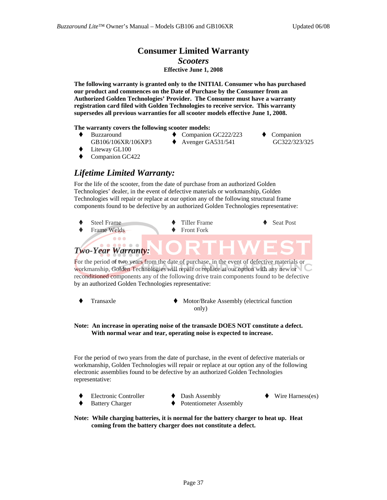### **Consumer Limited Warranty**  *Scooters*

### **Effective June 1, 2008**

**The following warranty is granted only to the INITIAL Consumer who has purchased our product and commences on the Date of Purchase by the Consumer from an Authorized Golden Technologies' Provider. The Consumer must have a warranty registration card filed with Golden Technologies to receive service. This warranty supersedes all previous warranties for all scooter models effective June 1, 2008.** 

#### **The warranty covers the following scooter models:**

- ◆ Buzzaround GB106/106XR/106XP3
- ◆ Companion GC222/223
	- Avenger GA531/541
- Companion GC322/323/325

- Liteway GL100
- Companion GC422

### *Lifetime Limited Warranty:*

For the life of the scooter, from the date of purchase from an authorized Golden Technologies' dealer, in the event of defective materials or workmanship, Golden Technologies will repair or replace at our option any of the following structural frame components found to be defective by an authorized Golden Technologies representative:



For the period of two years from the date of purchase, in the event of defective materials or workmanship, Golden Technologies will repair or replace at our option with any new or reconditioned components any of the following drive train components found to be defective by an authorized Golden Technologies representative:

- Transaxle Motor/Brake Assembly (electrical function only)
- **Note: An increase in operating noise of the transaxle DOES NOT constitute a defect. With normal wear and tear, operating noise is expected to increase.**

For the period of two years from the date of purchase, in the event of defective materials or workmanship, Golden Technologies will repair or replace at our option any of the following electronic assemblies found to be defective by an authorized Golden Technologies representative:

- Electronic Controller
- Battery Charger
- Dash Assembly
- Wire Harness(es)
- Potentiometer Assembly

**Note: While charging batteries, it is normal for the battery charger to heat up. Heat coming from the battery charger does not constitute a defect.**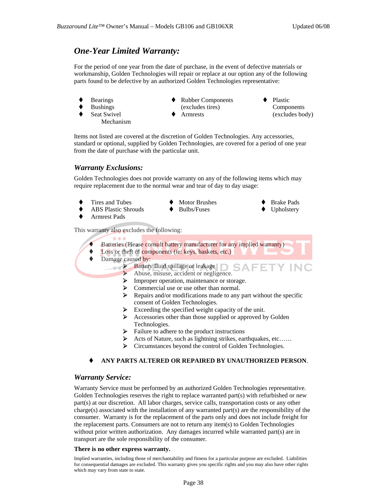### *One-Year Limited Warranty:*

For the period of one year from the date of purchase, in the event of defective materials or workmanship, Golden Technologies will repair or replace at our option any of the following parts found to be defective by an authorized Golden Technologies representative:

- Bearings
- Bushings
- Seat Swivel Mechanism
- ◆ Rubber Components
	- (excludes tires)
	- Armrests

◆ Plastic Components (excludes body)

> Brake Pads Upholstery

Items not listed are covered at the discretion of Golden Technologies. Any accessories, standard or optional, supplied by Golden Technologies, are covered for a period of one year from the date of purchase with the particular unit.

#### *Warranty Exclusions:*

Golden Technologies does not provide warranty on any of the following items which may require replacement due to the normal wear and tear of day to day usage:

- Tires and Tubes
- Motor Brushes Bulbs/Fuses
- ABS Plastic Shrouds
- Armrest Pads

This warranty also excludes the following:

- Batteries (Please consult battery manufacturer for any implied warranty)
- Loss or theft of components (ie: keys, baskets, etc.)
- ◆ Damage caused by:

 $\bullet$   $\bullet$ 

- $\blacktriangleright$  Battery fluid spillage or leakage
	- ¾ Abuse, misuse, accident or negligence.
	- ¾ Improper operation, maintenance or storage.
	- $\triangleright$  Commercial use or use other than normal.<br> $\triangleright$  Repairs and/or modifications made to any
	- ¾ Repairs and/or modifications made to any part without the specific consent of Golden Technologies.
	- $\blacktriangleright$  Exceeding the specified weight capacity of the unit.
	- ¾ Accessories other than those supplied or approved by Golden Technologies.
	- ¾ Failure to adhere to the product instructions
	- Acts of Nature, such as lightning strikes, earthquakes, etc......
	- ¾ Circumstances beyond the control of Golden Technologies.

#### **ANY PARTS ALTERED OR REPAIRED BY UNAUTHORIZED PERSON**.

#### *Warranty Service:*

Warranty Service must be performed by an authorized Golden Technologies representative. Golden Technologies reserves the right to replace warranted part(s) with refurbished or new part(s) at our discretion. All labor charges, service calls, transportation costs or any other charge(s) associated with the installation of any warranted part(s) are the responsibility of the consumer. Warranty is for the replacement of the parts only and does not include freight for the replacement parts. Consumers are not to return any item(s) to Golden Technologies without prior written authorization. Any damages incurred while warranted part(s) are in transport are the sole responsibility of the consumer.

#### **There is no other express warranty.**

Implied warranties, including those of merchantability and fitness for a particular purpose are excluded. Liabilities for consequential damages are excluded. This warranty gives you specific rights and you may also have other rights which may vary from state to state.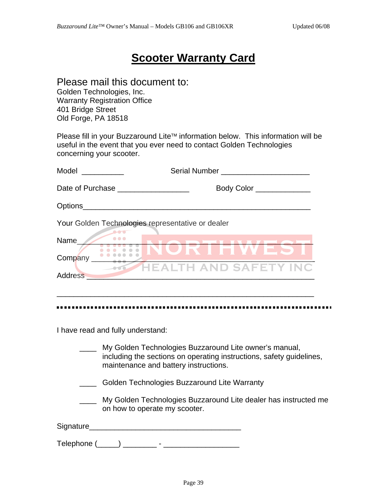### **Scooter Warranty Card**

### Please mail this document to:

Golden Technologies, Inc. Warranty Registration Office 401 Bridge Street Old Forge, PA 18518

Please fill in your Buzzaround Lite™ information below. This information will be useful in the event that you ever need to contact Golden Technologies concerning your scooter.

| Model<br>Serial Number and the series of the series of the series of the series of the series of the series of the series of the series of the series of the series of the series of the series of the series of the series of the seri<br><u> 1999 - Jan Jawa</u> |  |
|--------------------------------------------------------------------------------------------------------------------------------------------------------------------------------------------------------------------------------------------------------------------|--|
| Date of Purchase <b>Date of Purchase</b><br>Body Color ________                                                                                                                                                                                                    |  |
| Options <b>Department</b>                                                                                                                                                                                                                                          |  |
| Your Golden Technologies representative or dealer                                                                                                                                                                                                                  |  |
| <br>Name<br>Company                                                                                                                                                                                                                                                |  |
| TH AND SAFETY INC<br>$\sim$<br>Address<br>the control of the control of the control of                                                                                                                                                                             |  |
|                                                                                                                                                                                                                                                                    |  |

I have read and fully understand:

- \_\_\_\_ My Golden Technologies Buzzaround Lite owner's manual, including the sections on operating instructions, safety guidelines, maintenance and battery instructions.
- **EXECO** Golden Technologies Buzzaround Lite Warranty
- \_\_\_\_ My Golden Technologies Buzzaround Lite dealer has instructed me on how to operate my scooter.

Signature\_\_\_\_\_\_\_\_\_\_\_\_\_\_\_\_\_\_\_\_\_\_\_\_\_\_\_\_\_\_\_\_\_\_\_\_

Telephone (\_\_\_\_\_) \_\_\_\_\_\_\_\_ - \_\_\_\_\_\_\_\_\_\_\_\_\_\_\_\_\_\_